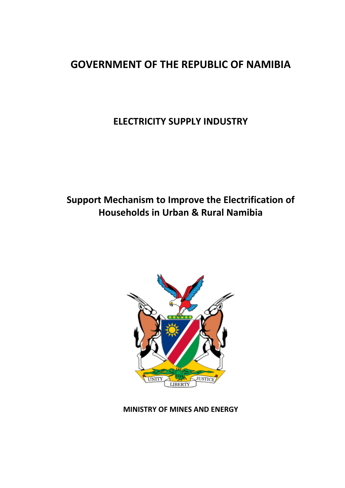# **GOVERNMENT OF THE REPUBLIC OF NAMIBIA**

**ELECTRICITY SUPPLY INDUSTRY**

# **Support Mechanism to Improve the Electrification of Households in Urban & Rural Namibia**



**MINISTRY OF MINES AND ENERGY**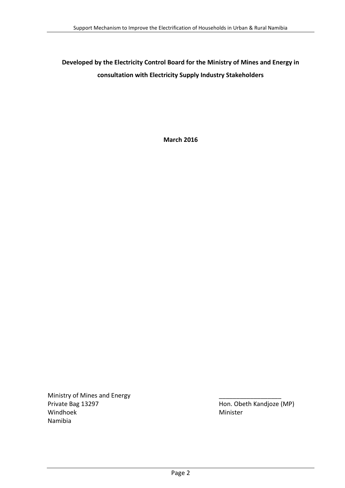## **Developed by the Electricity Control Board for the Ministry of Mines and Energy in consultation with Electricity Supply Industry Stakeholders**

**March 2016**

Ministry of Mines and Energy Private Bag 13297 **Hon.** Obeth Kandjoze (MP) Windhoek Minister Namibia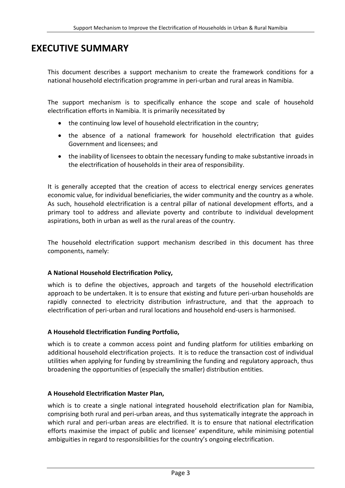## <span id="page-2-0"></span>**EXECUTIVE SUMMARY**

This document describes a support mechanism to create the framework conditions for a national household electrification programme in peri-urban and rural areas in Namibia.

The support mechanism is to specifically enhance the scope and scale of household electrification efforts in Namibia. It is primarily necessitated by

- the continuing low level of household electrification in the country;
- the absence of a national framework for household electrification that guides Government and licensees; and
- the inability of licensees to obtain the necessary funding to make substantive inroads in the electrification of households in their area of responsibility.

It is generally accepted that the creation of access to electrical energy services generates economic value, for individual beneficiaries, the wider community and the country as a whole. As such, household electrification is a central pillar of national development efforts, and a primary tool to address and alleviate poverty and contribute to individual development aspirations, both in urban as well as the rural areas of the country.

The household electrification support mechanism described in this document has three components, namely:

#### **A National Household Electrification Policy,**

which is to define the objectives, approach and targets of the household electrification approach to be undertaken. It is to ensure that existing and future peri-urban households are rapidly connected to electricity distribution infrastructure, and that the approach to electrification of peri-urban and rural locations and household end-users is harmonised.

#### **A Household Electrification Funding Portfolio,**

which is to create a common access point and funding platform for utilities embarking on additional household electrification projects. It is to reduce the transaction cost of individual utilities when applying for funding by streamlining the funding and regulatory approach, thus broadening the opportunities of (especially the smaller) distribution entities.

#### **A Household Electrification Master Plan,**

which is to create a single national integrated household electrification plan for Namibia, comprising both rural and peri-urban areas, and thus systematically integrate the approach in which rural and peri-urban areas are electrified. It is to ensure that national electrification efforts maximise the impact of public and licensee' expenditure, while minimising potential ambiguities in regard to responsibilities for the country's ongoing electrification.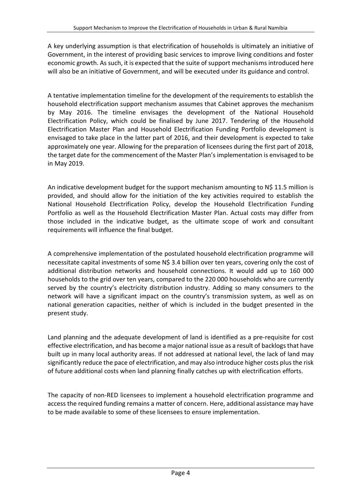A key underlying assumption is that electrification of households is ultimately an initiative of Government, in the interest of providing basic services to improve living conditions and foster economic growth. As such, it is expected that the suite of support mechanisms introduced here will also be an initiative of Government, and will be executed under its guidance and control.

A tentative implementation timeline for the development of the requirements to establish the household electrification support mechanism assumes that Cabinet approves the mechanism by May 2016. The timeline envisages the development of the National Household Electrification Policy, which could be finalised by June 2017. Tendering of the Household Electrification Master Plan and Household Electrification Funding Portfolio development is envisaged to take place in the latter part of 2016, and their development is expected to take approximately one year. Allowing for the preparation of licensees during the first part of 2018, the target date for the commencement of the Master Plan's implementation is envisaged to be in May 2019.

An indicative development budget for the support mechanism amounting to N\$ 11.5 million is provided, and should allow for the initiation of the key activities required to establish the National Household Electrification Policy, develop the Household Electrification Funding Portfolio as well as the Household Electrification Master Plan. Actual costs may differ from those included in the indicative budget, as the ultimate scope of work and consultant requirements will influence the final budget.

A comprehensive implementation of the postulated household electrification programme will necessitate capital investments of some N\$ 3.4 billion over ten years, covering only the cost of additional distribution networks and household connections. It would add up to 160 000 households to the grid over ten years, compared to the 220 000 households who are currently served by the country's electricity distribution industry. Adding so many consumers to the network will have a significant impact on the country's transmission system, as well as on national generation capacities, neither of which is included in the budget presented in the present study.

Land planning and the adequate development of land is identified as a pre-requisite for cost effective electrification, and has become a major national issue as a result of backlogs that have built up in many local authority areas. If not addressed at national level, the lack of land may significantly reduce the pace of electrification, and may also introduce higher costs plus the risk of future additional costs when land planning finally catches up with electrification efforts.

The capacity of non-RED licensees to implement a household electrification programme and access the required funding remains a matter of concern. Here, additional assistance may have to be made available to some of these licensees to ensure implementation.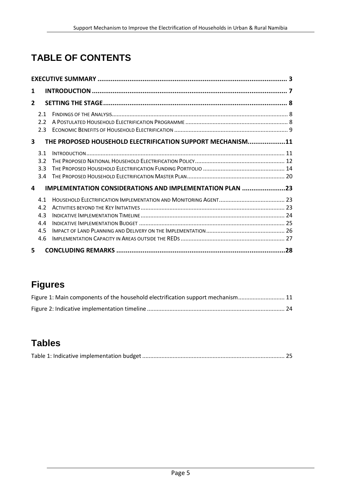# **TABLE OF CONTENTS**

| 1            |                                        |                                                            |  |
|--------------|----------------------------------------|------------------------------------------------------------|--|
| $\mathbf{2}$ |                                        |                                                            |  |
|              | 2.1<br>2.2                             |                                                            |  |
|              | 2.3                                    |                                                            |  |
| 3            |                                        | THE PROPOSED HOUSEHOLD ELECTRIFICATION SUPPORT MECHANISM11 |  |
|              | 3.1<br>3.2<br>3.3                      |                                                            |  |
| 4            | 3.4                                    | IMPLEMENTATION CONSIDERATIONS AND IMPLEMENTATION PLAN 23   |  |
|              | 4.1<br>4.2<br>4.3<br>4.4<br>4.5<br>4.6 |                                                            |  |
| 5.           |                                        |                                                            |  |

# **Figures**

| Figure 1: Main components of the household electrification support mechanism 11 |  |
|---------------------------------------------------------------------------------|--|
|                                                                                 |  |

# **Tables**

|--|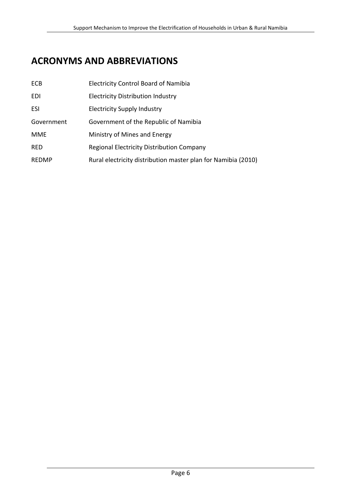## **ACRONYMS AND ABBREVIATIONS**

| <b>ECB</b>   | <b>Electricity Control Board of Namibia</b>                   |
|--------------|---------------------------------------------------------------|
| EDI          | <b>Electricity Distribution Industry</b>                      |
| ESI          | <b>Electricity Supply Industry</b>                            |
| Government   | Government of the Republic of Namibia                         |
| MME          | Ministry of Mines and Energy                                  |
| <b>RED</b>   | <b>Regional Electricity Distribution Company</b>              |
| <b>REDMP</b> | Rural electricity distribution master plan for Namibia (2010) |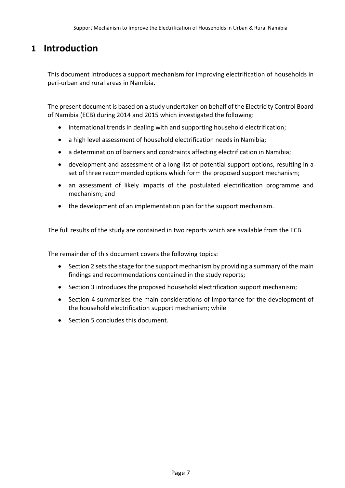## <span id="page-6-0"></span>**1 Introduction**

This document introduces a support mechanism for improving electrification of households in peri-urban and rural areas in Namibia.

The present document is based on a study undertaken on behalf of the Electricity Control Board of Namibia (ECB) during 2014 and 2015 which investigated the following:

- international trends in dealing with and supporting household electrification;
- a high level assessment of household electrification needs in Namibia;
- a determination of barriers and constraints affecting electrification in Namibia;
- development and assessment of a long list of potential support options, resulting in a set of three recommended options which form the proposed support mechanism;
- an assessment of likely impacts of the postulated electrification programme and mechanism; and
- the development of an implementation plan for the support mechanism.

The full results of the study are contained in two reports which are available from the ECB.

The remainder of this document covers the following topics:

- Sectio[n 2](#page-7-0) sets the stage for the support mechanism by providing a summary of the main findings and recommendations contained in the study reports;
- Section [3](#page-10-0) introduces the proposed household electrification support mechanism;
- Section [4](#page-22-0) summarises the main considerations of importance for the development of the household electrification support mechanism; while
- Section [5](#page-27-0) concludes this document.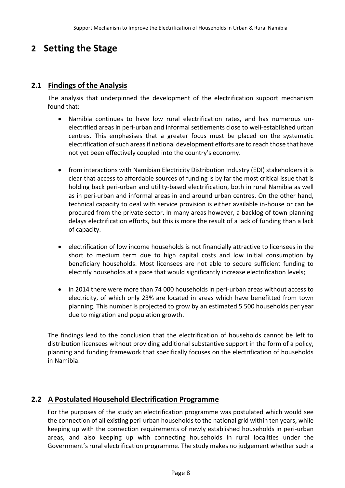## <span id="page-7-0"></span>**2 Setting the Stage**

## <span id="page-7-1"></span>**2.1 Findings of the Analysis**

The analysis that underpinned the development of the electrification support mechanism found that:

- Namibia continues to have low rural electrification rates, and has numerous unelectrified areas in peri-urban and informal settlements close to well-established urban centres. This emphasises that a greater focus must be placed on the systematic electrification of such areas if national development efforts are to reach those that have not yet been effectively coupled into the country's economy.
- from interactions with Namibian Electricity Distribution Industry (EDI) stakeholders it is clear that access to affordable sources of funding is by far the most critical issue that is holding back peri-urban and utility-based electrification, both in rural Namibia as well as in peri-urban and informal areas in and around urban centres. On the other hand, technical capacity to deal with service provision is either available in-house or can be procured from the private sector. In many areas however, a backlog of town planning delays electrification efforts, but this is more the result of a lack of funding than a lack of capacity.
- electrification of low income households is not financially attractive to licensees in the short to medium term due to high capital costs and low initial consumption by beneficiary households. Most licensees are not able to secure sufficient funding to electrify households at a pace that would significantly increase electrification levels;
- in 2014 there were more than 74 000 households in peri-urban areas without access to electricity, of which only 23% are located in areas which have benefitted from town planning. This number is projected to grow by an estimated 5 500 households per year due to migration and population growth.

The findings lead to the conclusion that the electrification of households cannot be left to distribution licensees without providing additional substantive support in the form of a policy, planning and funding framework that specifically focuses on the electrification of households in Namibia.

## <span id="page-7-2"></span>**2.2 A Postulated Household Electrification Programme**

For the purposes of the study an electrification programme was postulated which would see the connection of all existing peri-urban households to the national grid within ten years, while keeping up with the connection requirements of newly established households in peri-urban areas, and also keeping up with connecting households in rural localities under the Government's rural electrification programme. The study makes no judgement whether such a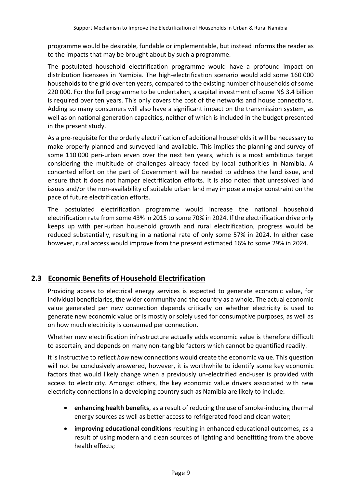programme would be desirable, fundable or implementable, but instead informs the reader as to the impacts that may be brought about by such a programme.

The postulated household electrification programme would have a profound impact on distribution licensees in Namibia. The high-electrification scenario would add some 160 000 households to the grid over ten years, compared to the existing number of households of some 220 000. For the full programme to be undertaken, a capital investment of some N\$ 3.4 billion is required over ten years. This only covers the cost of the networks and house connections. Adding so many consumers will also have a significant impact on the transmission system, as well as on national generation capacities, neither of which is included in the budget presented in the present study.

As a pre-requisite for the orderly electrification of additional households it will be necessary to make properly planned and surveyed land available. This implies the planning and survey of some 110 000 peri-urban erven over the next ten years, which is a most ambitious target considering the multitude of challenges already faced by local authorities in Namibia. A concerted effort on the part of Government will be needed to address the land issue, and ensure that it does not hamper electrification efforts. It is also noted that unresolved land issues and/or the non-availability of suitable urban land may impose a major constraint on the pace of future electrification efforts.

The postulated electrification programme would increase the national household electrification rate from some 43% in 2015 to some 70% in 2024. If the electrification drive only keeps up with peri-urban household growth and rural electrification, progress would be reduced substantially, resulting in a national rate of only some 57% in 2024. In either case however, rural access would improve from the present estimated 16% to some 29% in 2024.

## <span id="page-8-0"></span>**2.3 Economic Benefits of Household Electrification**

Providing access to electrical energy services is expected to generate economic value, for individual beneficiaries, the wider community and the country as a whole. The actual economic value generated per new connection depends critically on whether electricity is used to generate new economic value or is mostly or solely used for consumptive purposes, as well as on how much electricity is consumed per connection.

Whether new electrification infrastructure actually adds economic value is therefore difficult to ascertain, and depends on many non-tangible factors which cannot be quantified readily.

It is instructive to reflect *how* new connections would create the economic value. This question will not be conclusively answered, however, it is worthwhile to identify some key economic factors that would likely change when a previously un-electrified end-user is provided with access to electricity. Amongst others, the key economic value drivers associated with new electricity connections in a developing country such as Namibia are likely to include:

- **enhancing health benefits**, as a result of reducing the use of smoke-inducing thermal energy sources as well as better access to refrigerated food and clean water;
- **improving educational conditions** resulting in enhanced educational outcomes, as a result of using modern and clean sources of lighting and benefitting from the above health effects;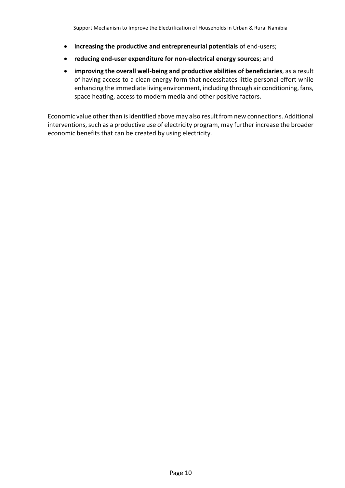- **increasing the productive and entrepreneurial potentials** of end-users;
- **reducing end-user expenditure for non-electrical energy sources**; and
- **improving the overall well-being and productive abilities of beneficiaries**, as a result of having access to a clean energy form that necessitates little personal effort while enhancing the immediate living environment, including through air conditioning, fans, space heating, access to modern media and other positive factors.

Economic value other than is identified above may also result from new connections. Additional interventions, such as a productive use of electricity program, may further increase the broader economic benefits that can be created by using electricity.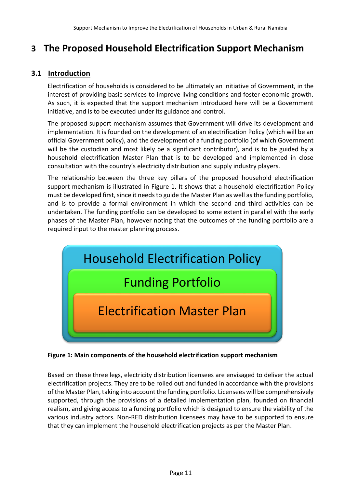## <span id="page-10-0"></span>**3 The Proposed Household Electrification Support Mechanism**

## <span id="page-10-1"></span>**3.1 Introduction**

Electrification of households is considered to be ultimately an initiative of Government, in the interest of providing basic services to improve living conditions and foster economic growth. As such, it is expected that the support mechanism introduced here will be a Government initiative, and is to be executed under its guidance and control.

The proposed support mechanism assumes that Government will drive its development and implementation. It is founded on the development of an electrification Policy (which will be an official Government policy), and the development of a funding portfolio (of which Government will be the custodian and most likely be a significant contributor), and is to be guided by a household electrification Master Plan that is to be developed and implemented in close consultation with the country's electricity distribution and supply industry players.

The relationship between the three key pillars of the proposed household electrification support mechanism is illustrated in [Figure 1.](#page-10-2) It shows that a household electrification Policy must be developed first, since it needs to guide the Master Plan as well as the funding portfolio, and is to provide a formal environment in which the second and third activities can be undertaken. The funding portfolio can be developed to some extent in parallel with the early phases of the Master Plan, however noting that the outcomes of the funding portfolio are a required input to the master planning process.



<span id="page-10-2"></span>**Figure 1: Main components of the household electrification support mechanism**

Based on these three legs, electricity distribution licensees are envisaged to deliver the actual electrification projects. They are to be rolled out and funded in accordance with the provisions of the Master Plan, taking into account the funding portfolio. Licensees will be comprehensively supported, through the provisions of a detailed implementation plan, founded on financial realism, and giving access to a funding portfolio which is designed to ensure the viability of the various industry actors. Non-RED distribution licensees may have to be supported to ensure that they can implement the household electrification projects as per the Master Plan.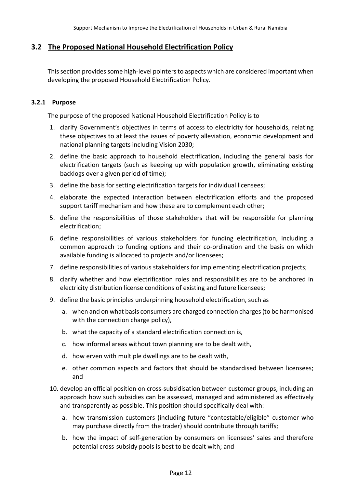### <span id="page-11-0"></span>**3.2 The Proposed National Household Electrification Policy**

This section provides some high-level pointers to aspects which are considered important when developing the proposed Household Electrification Policy.

#### **3.2.1 Purpose**

The purpose of the proposed National Household Electrification Policy is to

- 1. clarify Government's objectives in terms of access to electricity for households, relating these objectives to at least the issues of poverty alleviation, economic development and national planning targets including Vision 2030;
- 2. define the basic approach to household electrification, including the general basis for electrification targets (such as keeping up with population growth, eliminating existing backlogs over a given period of time);
- 3. define the basis for setting electrification targets for individual licensees;
- 4. elaborate the expected interaction between electrification efforts and the proposed support tariff mechanism and how these are to complement each other;
- 5. define the responsibilities of those stakeholders that will be responsible for planning electrification;
- 6. define responsibilities of various stakeholders for funding electrification, including a common approach to funding options and their co-ordination and the basis on which available funding is allocated to projects and/or licensees;
- 7. define responsibilities of various stakeholders for implementing electrification projects;
- 8. clarify whether and how electrification roles and responsibilities are to be anchored in electricity distribution license conditions of existing and future licensees;
- 9. define the basic principles underpinning household electrification, such as
	- a. when and on what basis consumers are charged connection charges (to be harmonised with the connection charge policy),
	- b. what the capacity of a standard electrification connection is,
	- c. how informal areas without town planning are to be dealt with,
	- d. how erven with multiple dwellings are to be dealt with,
	- e. other common aspects and factors that should be standardised between licensees; and
- 10. develop an official position on cross-subsidisation between customer groups, including an approach how such subsidies can be assessed, managed and administered as effectively and transparently as possible. This position should specifically deal with:
	- a. how transmission customers (including future "contestable/eligible" customer who may purchase directly from the trader) should contribute through tariffs;
	- b. how the impact of self-generation by consumers on licensees' sales and therefore potential cross-subsidy pools is best to be dealt with; and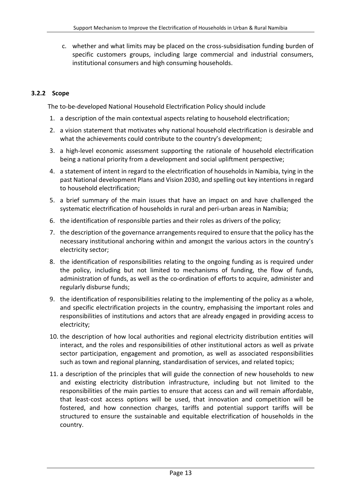c. whether and what limits may be placed on the cross-subsidisation funding burden of specific customers groups, including large commercial and industrial consumers, institutional consumers and high consuming households.

#### **3.2.2 Scope**

The to-be-developed National Household Electrification Policy should include

- 1. a description of the main contextual aspects relating to household electrification;
- 2. a vision statement that motivates why national household electrification is desirable and what the achievements could contribute to the country's development;
- 3. a high-level economic assessment supporting the rationale of household electrification being a national priority from a development and social upliftment perspective;
- 4. a statement of intent in regard to the electrification of households in Namibia, tying in the past National development Plans and Vision 2030, and spelling out key intentions in regard to household electrification;
- 5. a brief summary of the main issues that have an impact on and have challenged the systematic electrification of households in rural and peri-urban areas in Namibia;
- 6. the identification of responsible parties and their roles as drivers of the policy;
- 7. the description of the governance arrangements required to ensure that the policy has the necessary institutional anchoring within and amongst the various actors in the country's electricity sector;
- 8. the identification of responsibilities relating to the ongoing funding as is required under the policy, including but not limited to mechanisms of funding, the flow of funds, administration of funds, as well as the co-ordination of efforts to acquire, administer and regularly disburse funds;
- 9. the identification of responsibilities relating to the implementing of the policy as a whole, and specific electrification projects in the country, emphasising the important roles and responsibilities of institutions and actors that are already engaged in providing access to electricity;
- 10. the description of how local authorities and regional electricity distribution entities will interact, and the roles and responsibilities of other institutional actors as well as private sector participation, engagement and promotion, as well as associated responsibilities such as town and regional planning, standardisation of services, and related topics;
- 11. a description of the principles that will guide the connection of new households to new and existing electricity distribution infrastructure, including but not limited to the responsibilities of the main parties to ensure that access can and will remain affordable, that least-cost access options will be used, that innovation and competition will be fostered, and how connection charges, tariffs and potential support tariffs will be structured to ensure the sustainable and equitable electrification of households in the country.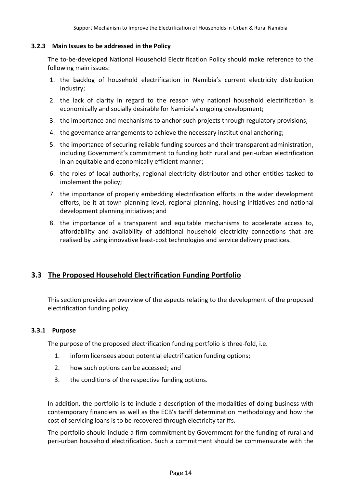#### **3.2.3 Main Issues to be addressed in the Policy**

The to-be-developed National Household Electrification Policy should make reference to the following main issues:

- 1. the backlog of household electrification in Namibia's current electricity distribution industry;
- 2. the lack of clarity in regard to the reason why national household electrification is economically and socially desirable for Namibia's ongoing development;
- 3. the importance and mechanisms to anchor such projects through regulatory provisions;
- 4. the governance arrangements to achieve the necessary institutional anchoring;
- 5. the importance of securing reliable funding sources and their transparent administration, including Government's commitment to funding both rural and peri-urban electrification in an equitable and economically efficient manner;
- 6. the roles of local authority, regional electricity distributor and other entities tasked to implement the policy;
- 7. the importance of properly embedding electrification efforts in the wider development efforts, be it at town planning level, regional planning, housing initiatives and national development planning initiatives; and
- 8. the importance of a transparent and equitable mechanisms to accelerate access to, affordability and availability of additional household electricity connections that are realised by using innovative least-cost technologies and service delivery practices.

## <span id="page-13-0"></span>**3.3 The Proposed Household Electrification Funding Portfolio**

This section provides an overview of the aspects relating to the development of the proposed electrification funding policy.

#### **3.3.1 Purpose**

The purpose of the proposed electrification funding portfolio is three-fold, i.e.

- 1. inform licensees about potential electrification funding options;
- 2. how such options can be accessed; and
- 3. the conditions of the respective funding options.

In addition, the portfolio is to include a description of the modalities of doing business with contemporary financiers as well as the ECB's tariff determination methodology and how the cost of servicing loans is to be recovered through electricity tariffs.

The portfolio should include a firm commitment by Government for the funding of rural and peri-urban household electrification. Such a commitment should be commensurate with the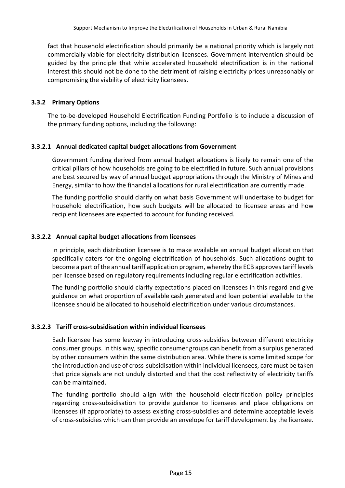fact that household electrification should primarily be a national priority which is largely not commercially viable for electricity distribution licensees. Government intervention should be guided by the principle that while accelerated household electrification is in the national interest this should not be done to the detriment of raising electricity prices unreasonably or compromising the viability of electricity licensees.

#### **3.3.2 Primary Options**

The to-be-developed Household Electrification Funding Portfolio is to include a discussion of the primary funding options, including the following:

#### **3.3.2.1 Annual dedicated capital budget allocations from Government**

Government funding derived from annual budget allocations is likely to remain one of the critical pillars of how households are going to be electrified in future. Such annual provisions are best secured by way of annual budget appropriations through the Ministry of Mines and Energy, similar to how the financial allocations for rural electrification are currently made.

The funding portfolio should clarify on what basis Government will undertake to budget for household electrification, how such budgets will be allocated to licensee areas and how recipient licensees are expected to account for funding received.

#### **3.3.2.2 Annual capital budget allocations from licensees**

In principle, each distribution licensee is to make available an annual budget allocation that specifically caters for the ongoing electrification of households. Such allocations ought to become a part of the annual tariff application program, whereby the ECB approves tariff levels per licensee based on regulatory requirements including regular electrification activities.

The funding portfolio should clarify expectations placed on licensees in this regard and give guidance on what proportion of available cash generated and loan potential available to the licensee should be allocated to household electrification under various circumstances.

#### **3.3.2.3 Tariff cross-subsidisation within individual licensees**

Each licensee has some leeway in introducing cross-subsidies between different electricity consumer groups. In this way, specific consumer groups can benefit from a surplus generated by other consumers within the same distribution area. While there is some limited scope for the introduction and use of cross-subsidisation within individual licensees, care must be taken that price signals are not unduly distorted and that the cost reflectivity of electricity tariffs can be maintained.

The funding portfolio should align with the household electrification policy principles regarding cross-subsidisation to provide guidance to licensees and place obligations on licensees (if appropriate) to assess existing cross-subsidies and determine acceptable levels of cross-subsidies which can then provide an envelope for tariff development by the licensee.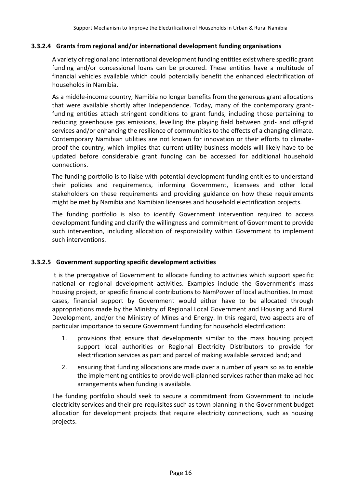#### **3.3.2.4 Grants from regional and/or international development funding organisations**

A variety of regional and international development funding entities exist where specific grant funding and/or concessional loans can be procured. These entities have a multitude of financial vehicles available which could potentially benefit the enhanced electrification of households in Namibia.

As a middle-income country, Namibia no longer benefits from the generous grant allocations that were available shortly after Independence. Today, many of the contemporary grantfunding entities attach stringent conditions to grant funds, including those pertaining to reducing greenhouse gas emissions, levelling the playing field between grid- and off-grid services and/or enhancing the resilience of communities to the effects of a changing climate. Contemporary Namibian utilities are not known for innovation or their efforts to climateproof the country, which implies that current utility business models will likely have to be updated before considerable grant funding can be accessed for additional household connections.

The funding portfolio is to liaise with potential development funding entities to understand their policies and requirements, informing Government, licensees and other local stakeholders on these requirements and providing guidance on how these requirements might be met by Namibia and Namibian licensees and household electrification projects.

The funding portfolio is also to identify Government intervention required to access development funding and clarify the willingness and commitment of Government to provide such intervention, including allocation of responsibility within Government to implement such interventions.

#### **3.3.2.5 Government supporting specific development activities**

It is the prerogative of Government to allocate funding to activities which support specific national or regional development activities. Examples include the Government's mass housing project, or specific financial contributions to NamPower of local authorities. In most cases, financial support by Government would either have to be allocated through appropriations made by the Ministry of Regional Local Government and Housing and Rural Development, and/or the Ministry of Mines and Energy. In this regard, two aspects are of particular importance to secure Government funding for household electrification:

- 1. provisions that ensure that developments similar to the mass housing project support local authorities or Regional Electricity Distributors to provide for electrification services as part and parcel of making available serviced land; and
- 2. ensuring that funding allocations are made over a number of years so as to enable the implementing entities to provide well-planned services rather than make ad hoc arrangements when funding is available.

The funding portfolio should seek to secure a commitment from Government to include electricity services and their pre-requisites such as town planning in the Government budget allocation for development projects that require electricity connections, such as housing projects.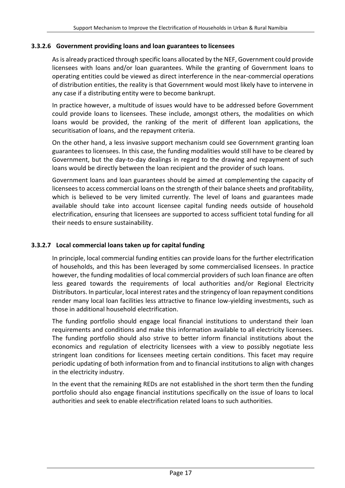#### **3.3.2.6 Government providing loans and loan guarantees to licensees**

As is already practiced through specific loans allocated by the NEF, Government could provide licensees with loans and/or loan guarantees. While the granting of Government loans to operating entities could be viewed as direct interference in the near-commercial operations of distribution entities, the reality is that Government would most likely have to intervene in any case if a distributing entity were to become bankrupt.

In practice however, a multitude of issues would have to be addressed before Government could provide loans to licensees. These include, amongst others, the modalities on which loans would be provided, the ranking of the merit of different loan applications, the securitisation of loans, and the repayment criteria.

On the other hand, a less invasive support mechanism could see Government granting loan guarantees to licensees. In this case, the funding modalities would still have to be cleared by Government, but the day-to-day dealings in regard to the drawing and repayment of such loans would be directly between the loan recipient and the provider of such loans.

Government loans and loan guarantees should be aimed at complementing the capacity of licensees to access commercial loans on the strength of their balance sheets and profitability, which is believed to be very limited currently. The level of loans and guarantees made available should take into account licensee capital funding needs outside of household electrification, ensuring that licensees are supported to access sufficient total funding for all their needs to ensure sustainability.

#### **3.3.2.7 Local commercial loans taken up for capital funding**

In principle, local commercial funding entities can provide loans for the further electrification of households, and this has been leveraged by some commercialised licensees. In practice however, the funding modalities of local commercial providers of such loan finance are often less geared towards the requirements of local authorities and/or Regional Electricity Distributors. In particular, local interest rates and the stringency of loan repayment conditions render many local loan facilities less attractive to finance low-yielding investments, such as those in additional household electrification.

The funding portfolio should engage local financial institutions to understand their loan requirements and conditions and make this information available to all electricity licensees. The funding portfolio should also strive to better inform financial institutions about the economics and regulation of electricity licensees with a view to possibly negotiate less stringent loan conditions for licensees meeting certain conditions. This facet may require periodic updating of both information from and to financial institutions to align with changes in the electricity industry.

In the event that the remaining REDs are not established in the short term then the funding portfolio should also engage financial institutions specifically on the issue of loans to local authorities and seek to enable electrification related loans to such authorities.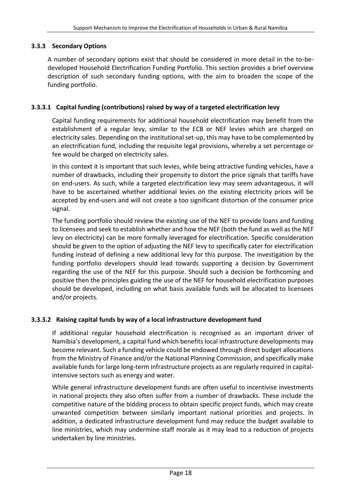#### **3.3.3 Secondary Options**

A number of secondary options exist that should be considered in more detail in the to-bedeveloped Household Electrification Funding Portfolio. This section provides a brief overview description of such secondary funding options, with the aim to broaden the scope of the funding portfolio.

#### **3.3.3.1 Capital funding (contributions) raised by way of a targeted electrification levy**

Capital funding requirements for additional household electrification may benefit from the establishment of a regular levy, similar to the ECB or NEF levies which are charged on electricity sales. Depending on the institutional set-up, this may have to be complemented by an electrification fund, including the requisite legal provisions, whereby a set percentage or fee would be charged on electricity sales.

In this context it is important that such levies, while being attractive funding vehicles, have a number of drawbacks, including their propensity to distort the price signals that tariffs have on end-users. As such, while a targeted electrification levy may seem advantageous, it will have to be ascertained whether additional levies on the existing electricity prices will be accepted by end-users and will not create a too significant distortion of the consumer price signal.

The funding portfolio should review the existing use of the NEF to provide loans and funding to licensees and seek to establish whether and how the NEF (both the fund as well as the NEF levy on electricity) can be more formally leveraged for electrification. Specific consideration should be given to the option of adjusting the NEF levy to specifically cater for electrification funding instead of defining a new additional levy for this purpose. The investigation by the funding portfolio developers should lead towards supporting a decision by Government regarding the use of the NEF for this purpose. Should such a decision be forthcoming and positive then the principles guiding the use of the NEF for household electrification purposes should be developed, including on what basis available funds will be allocated to licensees and/or projects.

#### **3.3.3.2 Raising capital funds by way of a local infrastructure development fund**

If additional regular household electrification is recognised as an important driver of Namibia's development, a capital fund which benefits local infrastructure developments may become relevant. Such a funding vehicle could be endowed through direct budget allocations from the Ministry of Finance and/or the National Planning Commission, and specifically make available funds for large long-term infrastructure projects as are regularly required in capitalintensive sectors such as energy and water.

While general infrastructure development funds are often useful to incentivise investments in national projects they also often suffer from a number of drawbacks. These include the competitive nature of the bidding process to obtain specific project funds, which may create unwanted competition between similarly important national priorities and projects. In addition, a dedicated infrastructure development fund may reduce the budget available to line ministries, which may undermine staff morale as it may lead to a reduction of projects undertaken by line ministries.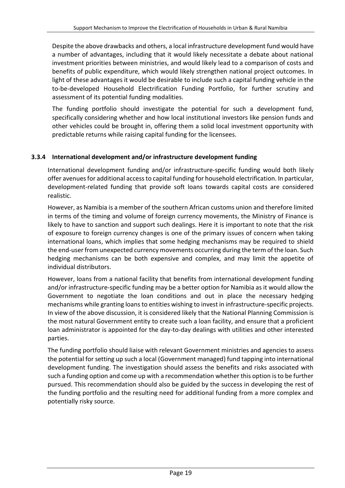Despite the above drawbacks and others, a local infrastructure development fund would have a number of advantages, including that it would likely necessitate a debate about national investment priorities between ministries, and would likely lead to a comparison of costs and benefits of public expenditure, which would likely strengthen national project outcomes. In light of these advantages it would be desirable to include such a capital funding vehicle in the to-be-developed Household Electrification Funding Portfolio, for further scrutiny and assessment of its potential funding modalities.

The funding portfolio should investigate the potential for such a development fund, specifically considering whether and how local institutional investors like pension funds and other vehicles could be brought in, offering them a solid local investment opportunity with predictable returns while raising capital funding for the licensees.

#### **3.3.4 International development and/or infrastructure development funding**

International development funding and/or infrastructure-specific funding would both likely offer avenues for additional access to capital funding for household electrification. In particular, development-related funding that provide soft loans towards capital costs are considered realistic.

However, as Namibia is a member of the southern African customs union and therefore limited in terms of the timing and volume of foreign currency movements, the Ministry of Finance is likely to have to sanction and support such dealings. Here it is important to note that the risk of exposure to foreign currency changes is one of the primary issues of concern when taking international loans, which implies that some hedging mechanisms may be required to shield the end-user from unexpected currency movements occurring during the term of the loan. Such hedging mechanisms can be both expensive and complex, and may limit the appetite of individual distributors.

However, loans from a national facility that benefits from international development funding and/or infrastructure-specific funding may be a better option for Namibia as it would allow the Government to negotiate the loan conditions and out in place the necessary hedging mechanisms while granting loans to entities wishing to invest in infrastructure-specific projects. In view of the above discussion, it is considered likely that the National Planning Commission is the most natural Government entity to create such a loan facility, and ensure that a proficient loan administrator is appointed for the day-to-day dealings with utilities and other interested parties.

The funding portfolio should liaise with relevant Government ministries and agencies to assess the potential for setting up such a local (Government managed) fund tapping into international development funding. The investigation should assess the benefits and risks associated with such a funding option and come up with a recommendation whether this option is to be further pursued. This recommendation should also be guided by the success in developing the rest of the funding portfolio and the resulting need for additional funding from a more complex and potentially risky source.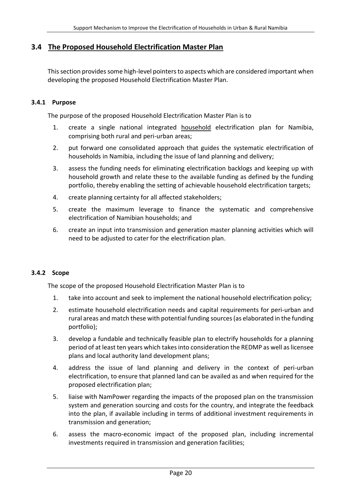### <span id="page-19-0"></span>**3.4 The Proposed Household Electrification Master Plan**

This section provides some high-level pointers to aspects which are considered important when developing the proposed Household Electrification Master Plan.

#### **3.4.1 Purpose**

The purpose of the proposed Household Electrification Master Plan is to

- 1. create a single national integrated **household** electrification plan for Namibia, comprising both rural and peri-urban areas;
- 2. put forward one consolidated approach that guides the systematic electrification of households in Namibia, including the issue of land planning and delivery;
- 3. assess the funding needs for eliminating electrification backlogs and keeping up with household growth and relate these to the available funding as defined by the funding portfolio, thereby enabling the setting of achievable household electrification targets;
- 4. create planning certainty for all affected stakeholders;
- 5. create the maximum leverage to finance the systematic and comprehensive electrification of Namibian households; and
- 6. create an input into transmission and generation master planning activities which will need to be adjusted to cater for the electrification plan.

#### **3.4.2 Scope**

The scope of the proposed Household Electrification Master Plan is to

- 1. take into account and seek to implement the national household electrification policy;
- 2. estimate household electrification needs and capital requirements for peri-urban and rural areas and match these with potential funding sources (as elaborated in the funding portfolio);
- 3. develop a fundable and technically feasible plan to electrify households for a planning period of at least ten years which takes into consideration the REDMP as well as licensee plans and local authority land development plans;
- 4. address the issue of land planning and delivery in the context of peri-urban electrification, to ensure that planned land can be availed as and when required for the proposed electrification plan;
- 5. liaise with NamPower regarding the impacts of the proposed plan on the transmission system and generation sourcing and costs for the country, and integrate the feedback into the plan, if available including in terms of additional investment requirements in transmission and generation;
- 6. assess the macro-economic impact of the proposed plan, including incremental investments required in transmission and generation facilities;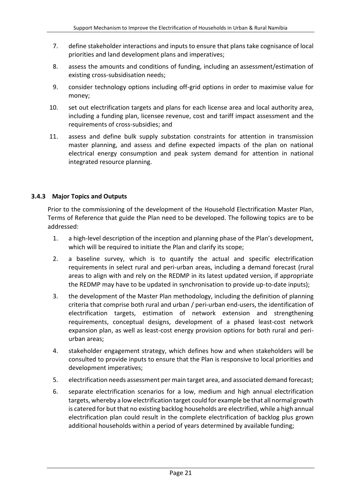- 7. define stakeholder interactions and inputs to ensure that plans take cognisance of local priorities and land development plans and imperatives;
- 8. assess the amounts and conditions of funding, including an assessment/estimation of existing cross-subsidisation needs;
- 9. consider technology options including off-grid options in order to maximise value for money;
- 10. set out electrification targets and plans for each license area and local authority area, including a funding plan, licensee revenue, cost and tariff impact assessment and the requirements of cross-subsidies; and
- 11. assess and define bulk supply substation constraints for attention in transmission master planning, and assess and define expected impacts of the plan on national electrical energy consumption and peak system demand for attention in national integrated resource planning.

#### **3.4.3 Major Topics and Outputs**

Prior to the commissioning of the development of the Household Electrification Master Plan, Terms of Reference that guide the Plan need to be developed. The following topics are to be addressed:

- 1. a high-level description of the inception and planning phase of the Plan's development, which will be required to initiate the Plan and clarify its scope;
- 2. a baseline survey, which is to quantify the actual and specific electrification requirements in select rural and peri-urban areas, including a demand forecast (rural areas to align with and rely on the REDMP in its latest updated version, if appropriate the REDMP may have to be updated in synchronisation to provide up-to-date inputs);
- 3. the development of the Master Plan methodology, including the definition of planning criteria that comprise both rural and urban / peri-urban end-users, the identification of electrification targets, estimation of network extension and strengthening requirements, conceptual designs, development of a phased least-cost network expansion plan, as well as least-cost energy provision options for both rural and periurban areas;
- 4. stakeholder engagement strategy, which defines how and when stakeholders will be consulted to provide inputs to ensure that the Plan is responsive to local priorities and development imperatives;
- 5. electrification needs assessment per main target area, and associated demand forecast;
- 6. separate electrification scenarios for a low, medium and high annual electrification targets, whereby a low electrification target could for example be that all normal growth is catered for but that no existing backlog households are electrified, while a high annual electrification plan could result in the complete electrification of backlog plus grown additional households within a period of years determined by available funding;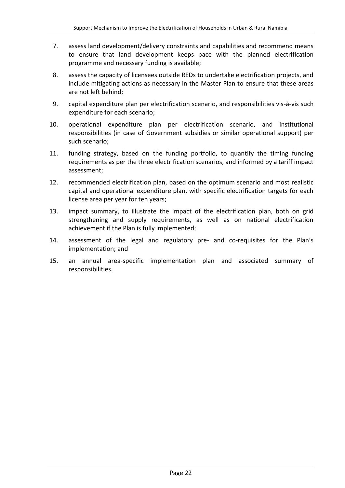- 7. assess land development/delivery constraints and capabilities and recommend means to ensure that land development keeps pace with the planned electrification programme and necessary funding is available;
- 8. assess the capacity of licensees outside REDs to undertake electrification projects, and include mitigating actions as necessary in the Master Plan to ensure that these areas are not left behind;
- 9. capital expenditure plan per electrification scenario, and responsibilities vis-à-vis such expenditure for each scenario;
- 10. operational expenditure plan per electrification scenario, and institutional responsibilities (in case of Government subsidies or similar operational support) per such scenario;
- 11. funding strategy, based on the funding portfolio, to quantify the timing funding requirements as per the three electrification scenarios, and informed by a tariff impact assessment;
- 12. recommended electrification plan, based on the optimum scenario and most realistic capital and operational expenditure plan, with specific electrification targets for each license area per year for ten years;
- 13. impact summary, to illustrate the impact of the electrification plan, both on grid strengthening and supply requirements, as well as on national electrification achievement if the Plan is fully implemented;
- 14. assessment of the legal and regulatory pre- and co-requisites for the Plan's implementation; and
- 15. an annual area-specific implementation plan and associated summary of responsibilities.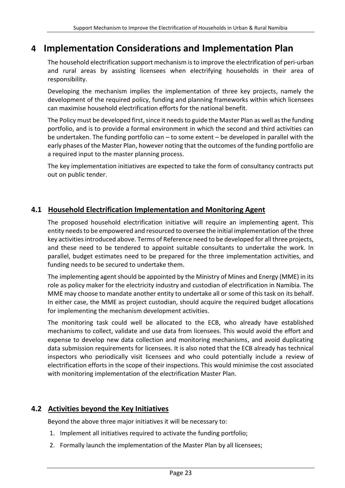## <span id="page-22-0"></span>**4 Implementation Considerations and Implementation Plan**

The household electrification support mechanism is to improve the electrification of peri-urban and rural areas by assisting licensees when electrifying households in their area of responsibility.

Developing the mechanism implies the implementation of three key projects, namely the development of the required policy, funding and planning frameworks within which licensees can maximise household electrification efforts for the national benefit.

The Policy must be developed first, since it needs to guide the Master Plan as well as the funding portfolio, and is to provide a formal environment in which the second and third activities can be undertaken. The funding portfolio can – to some extent – be developed in parallel with the early phases of the Master Plan, however noting that the outcomes of the funding portfolio are a required input to the master planning process.

The key implementation initiatives are expected to take the form of consultancy contracts put out on public tender.

### <span id="page-22-1"></span>**4.1 Household Electrification Implementation and Monitoring Agent**

The proposed household electrification initiative will require an implementing agent. This entity needs to be empowered and resourced to oversee the initial implementation of the three key activities introduced above. Terms of Reference need to be developed for all three projects, and these need to be tendered to appoint suitable consultants to undertake the work. In parallel, budget estimates need to be prepared for the three implementation activities, and funding needs to be secured to undertake them.

The implementing agent should be appointed by the Ministry of Mines and Energy (MME) in its role as policy maker for the electricity industry and custodian of electrification in Namibia. The MME may choose to mandate another entity to undertake all or some of this task on its behalf. In either case, the MME as project custodian, should acquire the required budget allocations for implementing the mechanism development activities.

The monitoring task could well be allocated to the ECB, who already have established mechanisms to collect, validate and use data from licensees. This would avoid the effort and expense to develop new data collection and monitoring mechanisms, and avoid duplicating data submission requirements for licensees. It is also noted that the ECB already has technical inspectors who periodically visit licensees and who could potentially include a review of electrification efforts in the scope of their inspections. This would minimise the cost associated with monitoring implementation of the electrification Master Plan.

## <span id="page-22-2"></span>**4.2 Activities beyond the Key Initiatives**

Beyond the above three major initiatives it will be necessary to:

- 1. Implement all initiatives required to activate the funding portfolio;
- 2. Formally launch the implementation of the Master Plan by all licensees;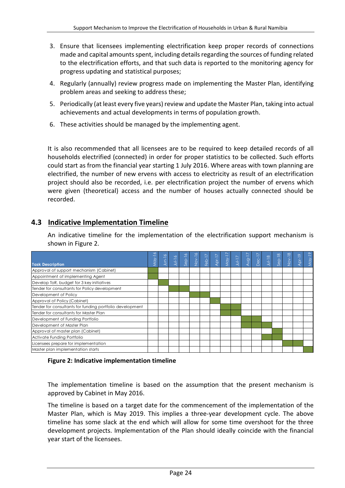- 3. Ensure that licensees implementing electrification keep proper records of connections made and capital amounts spent, including details regarding the sources of funding related to the electrification efforts, and that such data is reported to the monitoring agency for progress updating and statistical purposes;
- 4. Regularly (annually) review progress made on implementing the Master Plan, identifying problem areas and seeking to address these;
- 5. Periodically (at least every five years) review and update the Master Plan, taking into actual achievements and actual developments in terms of population growth.
- 6. These activities should be managed by the implementing agent.

It is also recommended that all licensees are to be required to keep detailed records of all households electrified (connected) in order for proper statistics to be collected. Such efforts could start as from the financial year starting 1 July 2016. Where areas with town planning are electrified, the number of new ervens with access to electricity as result of an electrification project should also be recorded, i.e. per electrification project the number of ervens which were given (theoretical) access and the number of houses actually connected should be recorded.

## <span id="page-23-0"></span>**4.3 Indicative Implementation Timeline**

An indicative timeline for the implementation of the electrification support mechanism is shown in [Figure 2.](#page-23-1)

|                                                          |     |              |          | $\sim$             |               |          |          |         |         | $\frac{1}{2}$ |       |          |          | Nov-18 | ∾<br>$\overline{p}$ | $May-19$ |
|----------------------------------------------------------|-----|--------------|----------|--------------------|---------------|----------|----------|---------|---------|---------------|-------|----------|----------|--------|---------------------|----------|
| <b>Task Description</b>                                  | May | $J$ Un- $16$ | $Jul-16$ | $\frac{1}{\alpha}$ | $\frac{1}{2}$ | $Feb-17$ | $Apr-17$ | $MQY-1$ | $JU-17$ |               | Dec-1 | $JuI-18$ | $Sep-18$ |        |                     |          |
| Approval of support mechanism (Cabinet)                  |     |              |          |                    |               |          |          |         |         |               |       |          |          |        |                     |          |
| Appointment of implementing Agent                        |     |              |          |                    |               |          |          |         |         |               |       |          |          |        |                     |          |
| Develop ToR, budget for 3 key initiatives                |     |              |          |                    |               |          |          |         |         |               |       |          |          |        |                     |          |
| Tender for consultants for Policy development            |     |              |          |                    |               |          |          |         |         |               |       |          |          |        |                     |          |
| Development of Policy                                    |     |              |          |                    |               |          |          |         |         |               |       |          |          |        |                     |          |
| Approval of Policy (Cabinet)                             |     |              |          |                    |               |          |          |         |         |               |       |          |          |        |                     |          |
| Tender for consultants for funding portfolio development |     |              |          |                    |               |          |          |         |         |               |       |          |          |        |                     |          |
| Tender for consultants for Master Plan                   |     |              |          |                    |               |          |          |         |         |               |       |          |          |        |                     |          |
| Development of Funding Portfolio                         |     |              |          |                    |               |          |          |         |         |               |       |          |          |        |                     |          |
| Development of Master Plan                               |     |              |          |                    |               |          |          |         |         |               |       |          |          |        |                     |          |
| Approval of master plan (Cabinet)                        |     |              |          |                    |               |          |          |         |         |               |       |          |          |        |                     |          |
| Activate Funding Portfolio                               |     |              |          |                    |               |          |          |         |         |               |       |          |          |        |                     |          |
| Licensees prepare for implementation                     |     |              |          |                    |               |          |          |         |         |               |       |          |          |        |                     |          |
| Master plan implementation starts                        |     |              |          |                    |               |          |          |         |         |               |       |          |          |        |                     |          |

#### <span id="page-23-1"></span>**Figure 2: Indicative implementation timeline**

The implementation timeline is based on the assumption that the present mechanism is approved by Cabinet in May 2016.

The timeline is based on a target date for the commencement of the implementation of the Master Plan, which is May 2019. This implies a three-year development cycle. The above timeline has some slack at the end which will allow for some time overshoot for the three development projects. Implementation of the Plan should ideally coincide with the financial year start of the licensees.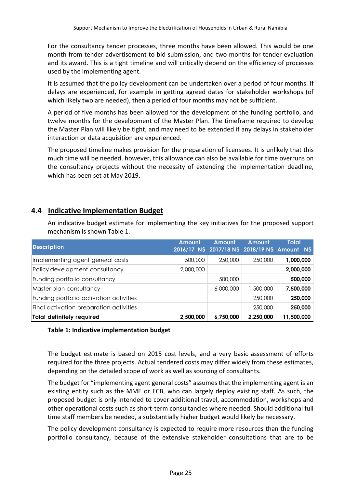For the consultancy tender processes, three months have been allowed. This would be one month from tender advertisement to bid submission, and two months for tender evaluation and its award. This is a tight timeline and will critically depend on the efficiency of processes used by the implementing agent.

It is assumed that the policy development can be undertaken over a period of four months. If delays are experienced, for example in getting agreed dates for stakeholder workshops (of which likely two are needed), then a period of four months may not be sufficient.

A period of five months has been allowed for the development of the funding portfolio, and twelve months for the development of the Master Plan. The timeframe required to develop the Master Plan will likely be tight, and may need to be extended if any delays in stakeholder interaction or data acquisition are experienced.

The proposed timeline makes provision for the preparation of licensees. It is unlikely that this much time will be needed, however, this allowance can also be available for time overruns on the consultancy projects without the necessity of extending the implementation deadline, which has been set at May 2019.

## <span id="page-24-0"></span>**4.4 Indicative Implementation Budget**

An indicative budget estimate for implementing the key initiatives for the proposed support mechanism is shown [Table 1.](#page-24-1)

| <b>Description</b>                      | Amount    | Amount    | Amount    | Total<br>2016/17 NS 2017/18 NS 2018/19 NS Amount NS |
|-----------------------------------------|-----------|-----------|-----------|-----------------------------------------------------|
| Implementing agent general costs        | 500,000   | 250,000   | 250,000   | 1,000,000                                           |
| Policy development consultancy          | 2,000,000 |           |           | 2,000,000                                           |
| Funding portfolio consultancy           |           | 500,000   |           | 500,000                                             |
| Master plan consultancy                 |           | 6,000,000 | 1,500,000 | 7,500,000                                           |
| Funding portfolio activation activities |           |           | 250,000   | 250,000                                             |
| Final activation preparation activities |           |           | 250,000   | 250,000                                             |
| <b>Total definitely required</b>        | 2,500,000 | 6,750,000 | 2,250,000 | 11,500,000                                          |

#### <span id="page-24-1"></span>**Table 1: Indicative implementation budget**

The budget estimate is based on 2015 cost levels, and a very basic assessment of efforts required for the three projects. Actual tendered costs may differ widely from these estimates, depending on the detailed scope of work as well as sourcing of consultants.

The budget for "implementing agent general costs" assumes that the implementing agent is an existing entity such as the MME or ECB, who can largely deploy existing staff. As such, the proposed budget is only intended to cover additional travel, accommodation, workshops and other operational costs such as short-term consultancies where needed. Should additional full time staff members be needed, a substantially higher budget would likely be necessary.

The policy development consultancy is expected to require more resources than the funding portfolio consultancy, because of the extensive stakeholder consultations that are to be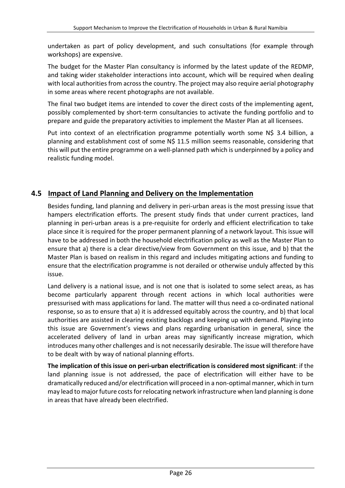undertaken as part of policy development, and such consultations (for example through workshops) are expensive.

The budget for the Master Plan consultancy is informed by the latest update of the REDMP, and taking wider stakeholder interactions into account, which will be required when dealing with local authorities from across the country. The project may also require aerial photography in some areas where recent photographs are not available.

The final two budget items are intended to cover the direct costs of the implementing agent, possibly complemented by short-term consultancies to activate the funding portfolio and to prepare and guide the preparatory activities to implement the Master Plan at all licensees.

Put into context of an electrification programme potentially worth some N\$ 3.4 billion, a planning and establishment cost of some N\$ 11.5 million seems reasonable, considering that this will put the entire programme on a well-planned path which is underpinned by a policy and realistic funding model.

### <span id="page-25-0"></span>**4.5 Impact of Land Planning and Delivery on the Implementation**

Besides funding, land planning and delivery in peri-urban areas is the most pressing issue that hampers electrification efforts. The present study finds that under current practices, land planning in peri-urban areas is a pre-requisite for orderly and efficient electrification to take place since it is required for the proper permanent planning of a network layout. This issue will have to be addressed in both the household electrification policy as well as the Master Plan to ensure that a) there is a clear directive/view from Government on this issue, and b) that the Master Plan is based on realism in this regard and includes mitigating actions and funding to ensure that the electrification programme is not derailed or otherwise unduly affected by this issue.

Land delivery is a national issue, and is not one that is isolated to some select areas, as has become particularly apparent through recent actions in which local authorities were pressurised with mass applications for land. The matter will thus need a co-ordinated national response, so as to ensure that a) it is addressed equitably across the country, and b) that local authorities are assisted in clearing existing backlogs and keeping up with demand. Playing into this issue are Government's views and plans regarding urbanisation in general, since the accelerated delivery of land in urban areas may significantly increase migration, which introduces many other challenges and is not necessarily desirable. The issue will therefore have to be dealt with by way of national planning efforts.

**The implication of this issue on peri-urban electrification is considered most significant**: if the land planning issue is not addressed, the pace of electrification will either have to be dramatically reduced and/or electrification will proceed in a non-optimal manner, which in turn may lead to major future costsfor relocating network infrastructure when land planning is done in areas that have already been electrified.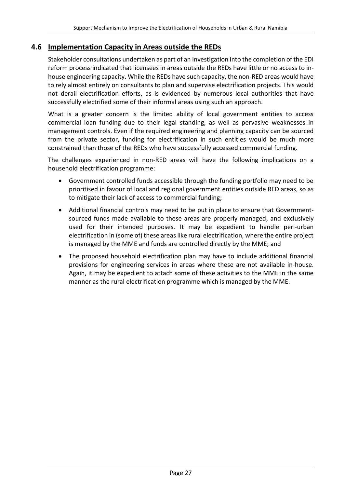### <span id="page-26-0"></span>**4.6 Implementation Capacity in Areas outside the REDs**

Stakeholder consultations undertaken as part of an investigation into the completion of the EDI reform process indicated that licensees in areas outside the REDs have little or no access to inhouse engineering capacity. While the REDs have such capacity, the non-RED areas would have to rely almost entirely on consultants to plan and supervise electrification projects. This would not derail electrification efforts, as is evidenced by numerous local authorities that have successfully electrified some of their informal areas using such an approach.

What is a greater concern is the limited ability of local government entities to access commercial loan funding due to their legal standing, as well as pervasive weaknesses in management controls. Even if the required engineering and planning capacity can be sourced from the private sector, funding for electrification in such entities would be much more constrained than those of the REDs who have successfully accessed commercial funding.

The challenges experienced in non-RED areas will have the following implications on a household electrification programme:

- Government controlled funds accessible through the funding portfolio may need to be prioritised in favour of local and regional government entities outside RED areas, so as to mitigate their lack of access to commercial funding;
- Additional financial controls may need to be put in place to ensure that Governmentsourced funds made available to these areas are properly managed, and exclusively used for their intended purposes. It may be expedient to handle peri-urban electrification in (some of) these areas like rural electrification, where the entire project is managed by the MME and funds are controlled directly by the MME; and
- The proposed household electrification plan may have to include additional financial provisions for engineering services in areas where these are not available in-house. Again, it may be expedient to attach some of these activities to the MME in the same manner as the rural electrification programme which is managed by the MME.